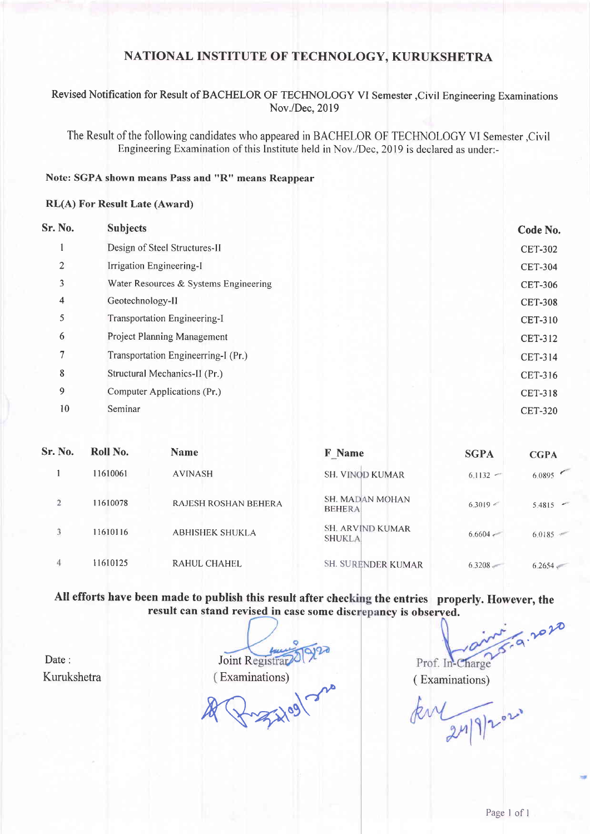## NATIONAL INSTITUTE OF TECHNOLOGY, KURUKSHETRA

## Revised Notification for Result of BACHELOR OF TECHNOLOGY VI Semester ,Civil Engineering Examinations Nov./Dec,2019

The Result of the following candidates who appeared in BACHELOR OF TECHNOLOGY VI Semester,Civil Engineering Examination of this Institute held in Nov./Dec,20l9 is declared as under:-

#### Note: SGPA shown means Pass and "R" means Reappear

#### RL(A) For Result Late (Award)

| <b>Subjects</b>                       | Code No.       |
|---------------------------------------|----------------|
| Design of Steel Structures-II         | <b>CET-302</b> |
| Irrigation Engineering-I              | <b>CET-304</b> |
| Water Resources & Systems Engineering | <b>CET-306</b> |
| Geotechnology-II                      | <b>CET-308</b> |
| Transportation Engineering-I          | <b>CET-310</b> |
| <b>Project Planning Management</b>    | <b>CET-312</b> |
| Transportation Engineerring-I (Pr.)   | <b>CET-314</b> |
| Structural Mechanics-II (Pr.)         | CET-316        |
| Computer Applications (Pr.)           | <b>CET-318</b> |
| Seminar                               | <b>CET-320</b> |
|                                       |                |

| Sr. No.        | Roll No. | <b>Name</b>            | F Name                                   | <b>SGPA</b>   | <b>CGPA</b> |
|----------------|----------|------------------------|------------------------------------------|---------------|-------------|
|                | 11610061 | <b>AVINASH</b>         | <b>SH. VINOD KUMAR</b>                   | $6.1132 -$    | 6.0895      |
| $\overline{2}$ | 11610078 | RAJESH ROSHAN BEHERA   | <b>SH. MADAN MOHAN</b><br><b>BEHERA</b>  | 6.3019 <      | $5.4815 -$  |
| 3              | 11610116 | <b>ABHISHEK SHUKLA</b> | <b>SH. ARVIND KUMAR</b><br><b>SHUKLA</b> | $6.6604 \div$ | 6.0185      |
| 4              | 11610125 | RAHUL CHAHEL           | SH. SURENDER KUMAR                       | $6.3208 -$    | 6.2654      |

All efforts have been made to publish this result after checking the entries properly. However, the result can stand revised in case some discrepancy is observed.

Date: Kurukshetra

Joint R Examinations) (Examinations)

 $\n *x* \rightarrow 0.913$ 

 $6.9.202$ 

kul 24/9/2021